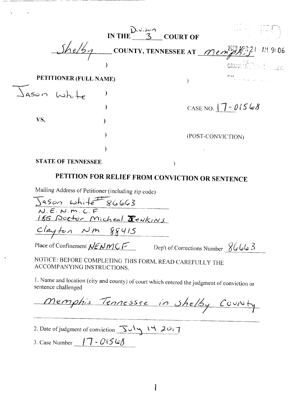|             |                           | IN THE $\frac{D_{3}^{3}cos \alpha}{3}$ COURT OF |                                                                                                                   |
|-------------|---------------------------|-------------------------------------------------|-------------------------------------------------------------------------------------------------------------------|
|             |                           |                                                 | $\sim$ COUNTY, TENNESSEE AT $\mathcal{M}$ em $\mathcal{P}^{219}_{\mathcal{P} \mathcal{P} \mathcal{P}}$<br>AM 9:06 |
|             |                           |                                                 | CRIMITAL TELEFICIENT                                                                                              |
|             | PETITIONER (FULL NAME)    |                                                 | ハー                                                                                                                |
| Jason White |                           |                                                 |                                                                                                                   |
|             |                           |                                                 | CASE NO. $7 - 01568$                                                                                              |
| VS.         |                           |                                                 |                                                                                                                   |
|             |                           |                                                 | (POST-CONVICTION)                                                                                                 |
|             |                           |                                                 |                                                                                                                   |
|             | <b>STATE OF TENNESSEE</b> |                                                 |                                                                                                                   |

# **PETITION FOR RELIEF FROM CONVICTION OR** SENTENCE

Mailing Address of Petitioner (including zip code)

Jason white 86663<br>N.E.N.M.C.F<br>185 Doctor Micheal **R**ewkins Clayton Nm 88415<br>Place of Confinement <u>NENMCF</u> Dep't of Corrections Number 86663

NOTICE: BEFORE COMPLETING THIS FORM. READ CAREFULLY THE ACCOMPANYING INSTRUCTIONS.

1. Name and location (city and county) of court which entered the judgment of conviction or sentence challenged

Memphis Tennessee in Shelby County

 $\mathbf{I}$ 

- 2. Date of judgment of conviction  $\frac{\sqrt{3}}{\sqrt{3}}$
- 3. Case Number  $\frac{17 015}{6}$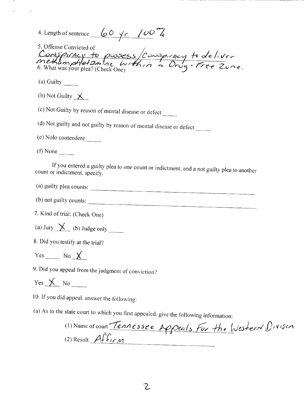| 4. Length of sentence $60 \text{ yr}$ /00 k                                                                                |
|----------------------------------------------------------------------------------------------------------------------------|
| 5. Offense Convicted of<br>Consiguracy to possess/Conspiracy to deliver<br>methamphetamine within a Drug-Free Zone.        |
|                                                                                                                            |
| (a) Guilty $\frac{1}{\sqrt{2}}$                                                                                            |
| (b) Not Guilty $\chi$                                                                                                      |
| (c) Not Guilty by reason of mental disease or defect                                                                       |
| (d) Not guilty and not guilty by reason of mental disease or defect                                                        |
|                                                                                                                            |
|                                                                                                                            |
| If you entered a guilty plea to one count or indictment, and a not guilty plea to another<br>count or indictment, specify. |
| (a) guilty plea counts:                                                                                                    |
| (b) not guilty counts:                                                                                                     |
| 7. Kind of trial: (Check One)                                                                                              |
| (a) Jury $\chi$ (b) Judge only _______                                                                                     |
| 8. Did you testify at the trial?                                                                                           |
| $Yes$ No $X$                                                                                                               |
| 9. Did you appeal from the judgment of conviction?                                                                         |
| $Yes \ X \ No$                                                                                                             |
| 10. If you did appeal, answer the following:                                                                               |
| (a) As to the state court to which you first appealed, give the following information:                                     |
| (1) Name of court Tennessee Appeals For the Western Divisen                                                                |
| (2) Result $Affian$                                                                                                        |

**Contract Contract** 

 $\overline{2}$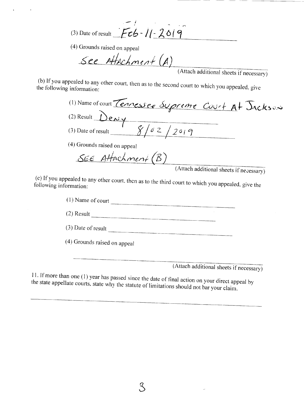(3) Date of result  $\begin{array}{|c|c|c|c|}\n\hline\n\end{array}$   $\begin{array}{|c|c|c|}\n\hline\n\end{array}$ 

(4) Grounds raised on appeal

See Attachment (A)

(Attach additional sheets if necessary)

 $(b)$  If you appealed to any other court, then  $\epsilon$  $t_0$  following information:

| (1) Name of court Tennessee Suprime Court At Dackson           |
|----------------------------------------------------------------|
| $(2)$ Result $\qquad$<br><u>)eniv</u>                          |
| 8/02/2019<br>(3) Date of result                                |
| (4) Grounds raised on appeal                                   |
| SEE Attachment (B)                                             |
| (Attach additional sheets if necessary)                        |
| If you annealed to any other count $H_1$ , $\cdots$ , $\cdots$ |

 $\frac{1}{2}$  formation:

(1) Name of court (2) Result (3) Date of result (4) Grounds raised on appeal

(Attach additional sheets if necessary)

If more than one (1) year has passed since the date of final action on  $\mathbb{R}^n$ state appellate courts, state why the state of  $\alpha$  courts in the statute of  $\alpha$  in the statute of limitation on your direct appeal

 $\mathcal{S}$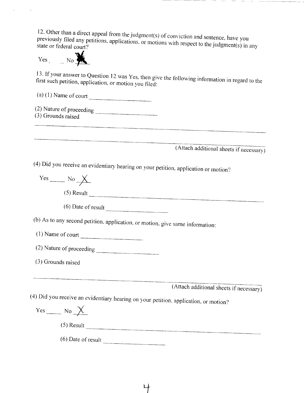12. Other than a direct appeal from the judgment(s) of conviction and sentence, have you previously filed any petitions, applications with respect to the conviction and sentence, have you tate or federal court?

 $Yes_1 = No$ 

3. If your answer to Question 12 was  $Y_{\text{eff}}$  then give the following information in regard to the following in regard to the following in regard to the following in regard to the following in regard to the following in  $f$  ist such petition, application, or motion  $\tilde{f}$  and  $\tilde{f}$ first such petition, application, or motion you filed:<br>(a) (1) Name of court

(2) Nature of proceeding (3) Grounds raised

(Attach additional sheets if necessary)

(4) Did you receive an evidentiary hearing on your petition, application or motion?

 $Yes$  No  $X$  $(5)$  Result  $\overline{\qquad \qquad }$ (6) Date of result  $\overline{\qquad \qquad }$ (b) As to any second petition, application, or motion, give same information: (1) Name of court (2) Nature of proceeding (3) Grounds raised (Attach additional sheets if necessary) (4) Did you receive an evidentiary hearing on your petition, application, or motion?  $Yes \_\_ No \_\times$ (5) Result (6) Date of result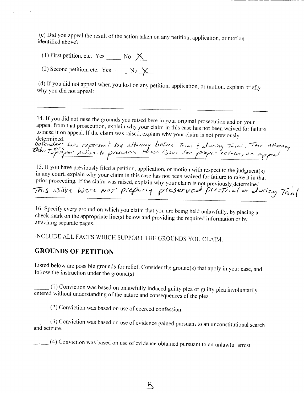(c) Did you appeal the result of the action taken on any petition, application, or motion identified above?

(1) First petition, etc. Yes  $\_\_\_\_\_\_\_\_\_\_\_\_\_\_\_\_\_\_\_\_\_\_$ 

(2) Second petition, etc. Yes  $\frac{1}{2}$  No  $\frac{1}{2}$ 

(d) If you did not appeal when you lost on any petition, application, or motion, explain briefly why you did not appeal:

14. If you did not raise the grounds you raised here in your original prosecution and on your appeal from that prosecution, explain why your claim in this case has not been waived for failure to raise it on appeal. If the claim was raised, explain why your claim is not previously

determined.<br>Defendant was repersent by attorney before Trial & Juring Trial, The attorney<br>Didne Typisper action to presearce these issue for proper review, un appeal

1 5. If you have previously filed a petition, application, or motion with respect to the judgment(s) in any court, explain why your claim in this case has not been waived for failure to raise it in that

prior proceeding. If the claim was raised, explain why your claim is not previously determined.<br>
This is it were  $N^o \tau$  preparily presented prefinal or during Treal

16. Specify every ground on which you claim that you are being held unlawfully, by placing a check mark on the appropriate line(s) below and providing the required information or by attaching separate pages.

INCLUDE ALL FACTS WHICH SUPPORT THE GROUNDS YOU CLAIM.

### **GROUNDS OF PETITION**

Listed below are possible grounds for relief. Consider the ground(s) that apply in your case, and follow the instruction under the ground(s):

(1) Conviction was based on unlawfully induced guilty plea or guilty plea involuntarily entered without understanding of the nature and consequences of the plea.

(2) Conviction was based on use of coerced confession.

 $\alpha$   $\beta$ ) Conviction was based on use of evidence gained pursuant to an unconstitutional search search search search search search search search search search search search search search search search search search searc d seizure.

 $\kappa$ 

 $\sim$  (4) Conviction was based on use of evidence obtained pursuant to an unlawful arrest.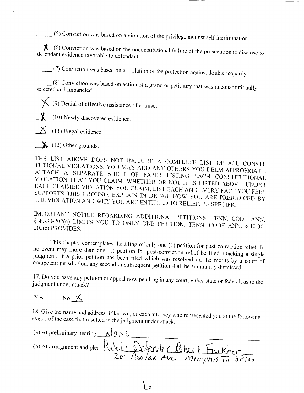$(-\sqrt{5})$  Conviction was based on a violation of the privilege against self incrimination.

 $(6)$  Conviction was based on the unconstitution to disclose to disclose to disclose to disclose to disclose to disclose to disclose to disclose to disclose to disclose to disclose to disclose to disclose to disclose to d defendant evidence favorable to defendant.

(7) Conviction was based on a violation of the protection against double jeopardy.

 $(8)$  Conviction was based on action of a grand or petit jury that was unconstitutionally selected and impaneled.

 $\sqrt{\phantom{a}}$  (9) Denial of effective assistance of counsel.

*J*<sup> (10)</sup> Newly discovered evidence.

 $\sum$  (11) Illegal evidence.

 $\triangle$  (12) Other grounds.

HE LIST ABOVE DOES NOT INCLUDE A COMPLETE LIST UTIONAL VIOLATIONS. YOU MAN ADD ANY OTHERS HAVE LIST OF ALL CONSTI-TUTIONAL VIOLATIONS. YOU MAY ADD ANY OTHERS YOU DEEM APPROPRIATE.<br>ATTACH A SEPARATE SHEET OF PAPER LISTING EACH CONSTITUTIONAL VIOLATION THAT YOU CLAIM, WHETHER OR NOT IT IS LISTED ABOVE. UNDER ACH CLAIMED VIOLATION YOU CLAIM. LIST EACH AND EXAMPLED ABOVE. UNDER SPORTS THIS GROUND. EVELAIN IN DETAIL HOW YOU ARE PROT YOU FEEL SUPPORTS THIS GROUND. EXPLAIN IN DETAIL HOW YOU ARE PREJUDICED BY<br>THE VIOLATION AND WHY YOU ARE ENTITLED TO RELIEF. BE SPECIFIC.

IMPORTANT NOTICE REGARDING ADDITIONAL PETITIONS: TENN. CODE ANN.  $640-30-202(c)$  LIMITS YOU TO ONLY ONE PETITIONS: JENN. CODE ANN.  $2(c)$  PROVIDES:

This chapter contemplates the filing of only one (1) petition for post-conviction relief. In event may more than one (1) petition for post-conviction relief. In  $j$  is the main one (1) petition for position relief be filed attacking a single judgment. If a prior petition has been filed which was resolved on the merits by a court of competent jurisdiction, any second or subsequent petition shall be summarily dismissed.

 $17.$  Do you have any petition or appeal now pending in any court, either state or  $\frac{1}{2}$  $\frac{1}{2}$ lgment under attack?

 $Yes$  No  $\times$ 

Give the name and address, if known, of each  $\alpha$  represents  $\alpha$ state in the case that resulted in the judgment under attacking with

(a) At preliminary hearing  $\bigcup_{\alpha} \bigcup_{\alpha} \bigcup_{\alpha} \emptyset$ (b) At arraignment and plea Public Defender Robert Fel Kner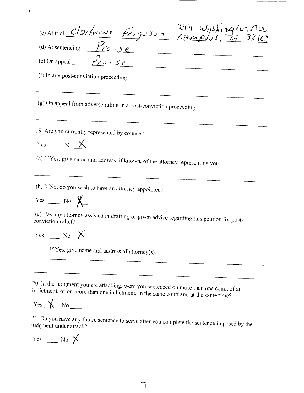| continual cloiburne Fergusun 294 Washington Ave                                                                   |
|-------------------------------------------------------------------------------------------------------------------|
| (d) At sentencing $\frac{P_{r0} - se}{P_{r0} - se}$                                                               |
| (e) On appeal $\mathscr{P}_{\ell \phi}$ - $\mathscr{S}_{e}$                                                       |
| (f) In any post-conviction proceeding                                                                             |
| (g) On appeal from adverse ruling in a post-conviction proceeding                                                 |
| 19. Are you currently represented by counsel?<br>Yes No $\times$                                                  |
| (a) If Yes, give name and address, if known, of the attorney representing you.                                    |
| (b) If No, do you wish to have an attorney appointed?                                                             |
| $Yes$ No $\cancel{\mathsf{X}}$                                                                                    |
| (c) Has any attorney assisted in drafting or given advice regarding this petition for post-<br>conviction relief? |
| $Yes \_\_ No \ \mathcal{X}$                                                                                       |
| If Yes, give name and address of attorney(s).                                                                     |
|                                                                                                                   |
| 20. In the judgment you are attacking, were you sentenced on more than one count of an                            |

 $\overline{\phantom{a}}$ 

indictment, or on more than one indictment, in the same court and at the same time?

 $Yes \nightharpoonup No \nightharpoonup$ 

 $\sim$   $^{-1}$ 

 $20.$  You have any future sentence to see after  $\alpha$  $z$ ment under attack?

٦

 $Yes$  No  $X$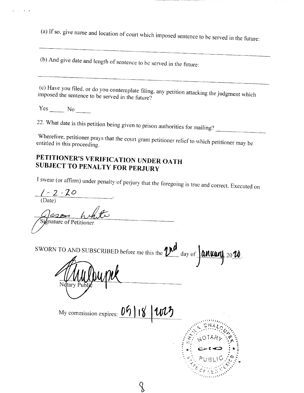(a) If so. give name and location of court which imposed sentence to be served in the future:

(b) And give date and length of sentence to be served in the future:

 $(c)$  Have you filed, or do you contemplate  $\alpha$ in posed the sentence to be served in the future.

 $Yes$   $No$   $No$ 

 $\bar{\rm{t}}$ 

22. What date is this petition being given to prison authorities for mailing?

 $\mu$  herefore, petitioner prays that the court grant periodic to which periodic periodic periodic periodic periodic periodic periodic periodic periodic periodic periodic periodic periodic periodic periodic periodic period titled in this proceeding.

## **PETITIONER'S VERIFICATION UNDER OATH SUBJECT TO PENALTY FOR PERJURY**

I swear (or affirm) under penalty of perjury that the foregoing is true and correct. Executed on

 $1 - 2 - 20$ (Date) *A* Signature of Petitioner SWORN TO AND SUBSCRIBED before me this the  $\mathcal{L}^{\mathcal{M}}$  day of  $\left|\text{amount}\right|$  20 $\mathcal{M}$ . Ndtary I My commission expires:  $0\frac{6}{18}$  $\mathcal{P}_{\text{Q1Y}}$  :  $\mathcal{P}_{\text{P2}}$ './"• $\gamma$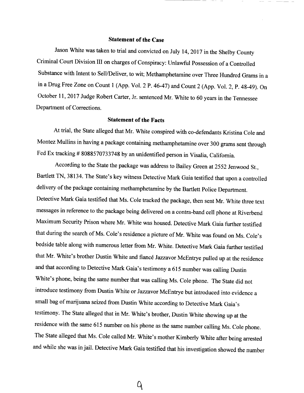#### **Statement of the Case**

Jason White was taken to trial and convicted on July 14, 2017 in the Shelby County Criminal Court Division III on charges of Conspiracy: Unlawful Possession of a Controlled Substance with Intent to Sell/Deliver, to wit; Methamphetamine over Three Hundred Grams in a in a Drug Free Zone on Count 1 (App. Vol. 2 P. 46-47) and Count 2 (App. Vol. 2, P. 48-49). On October 11, 2017 Judge Robert Carter, Jr. sentenced Mr. White to 60 years in the Tennessee Department of Corrections.

#### **Statement of the Facts**

At trial, the State alleged that Mr. White conspired with co-defendants Kristina Cole and Montez Mullins in having a package containing methamphetamine over 300 grams sent through Fed Ex tracking *#* 8088570733748 by an unidentified person in Visalia, California.

According to the State the package was address to Bailey Green at 2552 Jenwood St., Bartlett TN, 38134. The State's key witness Detective Mark Gaia testified that upon a controlled delivery of the package containing methamphetamine by the Bartlett Police Department. Detective Mark Gaia testified that Ms. Cole tracked the package, then sent Mr. White three text messages in reference to the package being delivered on a contra-band cell phone at Riverbend Maximum Security Prison where Mr. White was housed. Detective Mark Gaia further testified that during the search of Ms. Cole's residence a picture of Mr. White was found on Ms. Cole's bedside table along with numerous letter from Mr. White. Detective Mark Gaia further testified that Mr. White's brother Dustin White and fiance Jazzavor McEntrye pulled up at the residence and that according to Detective Mark Gaia's testimony a 615 number was calling Dustin White's phone, being the same number that was calling Ms. Cole phone. The State did not introduce testimony from Dustin White or Jazzavor McEntrye but introduced into evidence a small bag of marijuana seized from Dustin White according to Detective Mark Gaia's testimony. The State alleged that in Mr. White's brother, Dustin White showing up at the residence with the same 615 number on his phone as the same number calling Ms. Cole phone. The State alleged that Ms. Cole called Mr. White's mother Kimberly White after being arrested and while she was in jail. Detective Mark Gaia testified that his investigation showed the number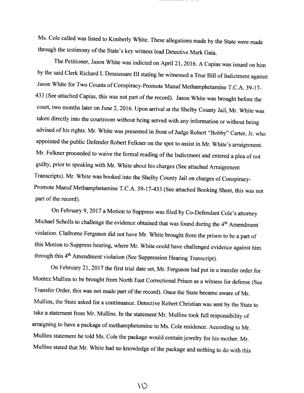Ms. Cole called was listed to Kimberly White. These allegations made by the State were made through the testimony of the State's key witness lead Detective Mark Gaia.

The Petitioner, Jason White was indicted on April 21,2016. A Capias was issued on him by the said Clerk Richard L Desaussare III stating he witnessed a True Bill of Indictment against Jason White for Two Counts of Conspiracy-Promote Manuf Methamphetamine T.C.A. 39-17- 433 (See attached Capias, this was not part of the record). Jason White was brought before the court, two months later on June 2, 2016. Upon arrival at the Shelby County Jail, Mr. White was taken directly into the courtroom without being served with any information or without being advised of his rights. Mr. White was presented in front of Judge Robert "Bobby" Carter, Jr. who appointed the public Defender Robert Felkner on the spot to assist in Mr. White's arraignment. Mr. Felkner proceeded to waive the formal reading of the Indictment and entered a plea of not guilty, prior to speaking with Mr. White about his charges (See attached Arraignment Transcripts). Mr. White was booked into the Shelby County Jail on charges of Conspiracy-Promote Manuf Methamphetamine T.C.A. 39-17-433 (See attached Booking Sheet, this was not part of the record).

On February 9, 2017 a Motion to Suppress was filed by Co-Defendant Cole's attorney Michael Scholls to challenge the evidence obtained that was found during the 4<sup>th</sup> Amendment violation. Claiborne Ferguson did not have Mr. White brought from the prison to be a part of this Motion to Suppress hearing, where Mr. White could have challenged evidence against him through this 4<sup>th</sup> Amendment violation (See Suppression Hearing Transcript).

On February 21,2017 the first trial date set, Mr. Ferguson had put in a transfer order for Montez Mullins to be brought from North East Correctional Prison as a witness for defense (See Transfer Order, this was not made part of the record). Once the State became aware of Mr. Mullins, the State asked for a continuance. Detective Robert Christian was sent by the State to take a statement from Mr. Mullins. In the statement Mr. Mullins took full responsibility of arraigning to have a package of methamphetamine to Ms. Cole residence. According to Mr. Mullins statement he told Ms. Cole the package would contain jewelry for his mother. Mr. Mullins stated that Mr. White had no knowledge of the package and nothing to do with this

 $\setminus \circlearrowright$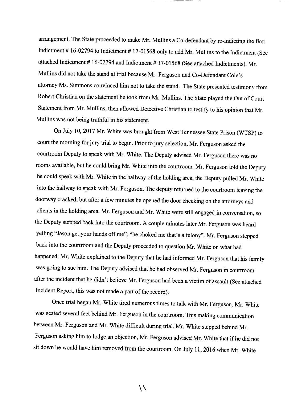arrangement. The State proceeded to make Mr. Mullins a Co-defendant by re-indicting the first Indictment *#* 16-02794 to Indictment # 17-01568 only to add Mr. Mullins to the Indictment (See attached Indictment # 16-02794 and Indictment # 17-01568 (See attached Indictments). Mr. Mullins did not take the stand at trial because Mr. Ferguson and Co-Defendant Cole's attorney Ms. Simmons convinced him not to take the stand. The State presented testimony from Robert Christian on the statement he took from Mr. Mullins. The State played the Out of Court Statement from Mr. Mullins, then allowed Detective Christian to testify to his opinion that Mr. Mullins was not being truthful in his statement.

On July 10,2017 Mr. White was brought from West Tennessee State Prison (WTSP) to court the morning for jury trial to begin. Prior to jury selection, Mr. Ferguson asked the courtroom Deputy to speak with Mr. White. The Deputy advised Mr. Ferguson there was no rooms available, but he could bring Mr. White into the courtroom. Mr. Ferguson told the Deputy he could speak with Mr. White in the hallway of the holding area, the Deputy pulled Mr. White into the hallway to speak with Mr. Ferguson. The deputy returned to the courtroom leaving the doorway cracked, but after a few minutes he opened the door checking on the attorneys and clients in the holding area. Mr. Ferguson and Mr. White were still engaged in conversation, so the Deputy stepped back into the courtroom. A couple minutes later Mr. Ferguson was heard yelling "Jason get your hands off me", "he choked me that's a felony". Mr. Ferguson stepped back into the courtroom and the Deputy proceeded to question Mr. White on what had happened. Mr. White explained to the Deputy that he had informed Mr. Ferguson that his family was going to sue him. The Deputy advised that he had observed Mr. Ferguson in courtroom after the incident that he didn't believe Mr. Ferguson had been a victim of assault (See attached Incident Report, this was not made a part of the record).

Once trial began Mr. White tired numerous times to talk with Mr. Ferguson, Mr. White was seated several feet behind Mr. Ferguson in the courtroom. This making communication between Mr. Ferguson and Mr. White difficult during trial. Mr. White stepped behind Mr. Ferguson asking him to lodge an objection, Mr. Ferguson advised Mr. White that if he did not sit down he would have him removed from the courtroom. On July 11,2016 when Mr. White

ヽヽ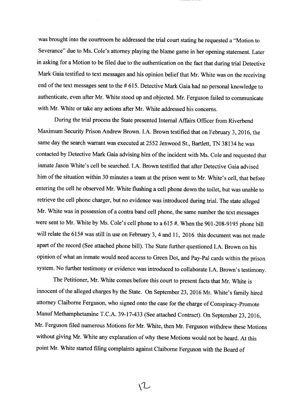was brought into the courtroom he addressed the trial court stating he requested a "Motion to Severance" due to Ms. Cole's attorney playing the blame game in her opening statement. Later in asking for a Motion to be filed due to the authentication on the fact that during trial Detective Mark Gaia testified to text messages and his opinion belief that Mr. White was on the receiving end of the text messages sent to the #615. Detective Mark Gaia had no personal knowledge to authenticate, even after Mr. White stood up and objected. Mr. Ferguson failed to communicate with Mr. White or take any actions after Mr. White addressed his concerns.

During the trial process the State presented Internal Affairs Officer from Riverbend Maximum Security Prison Andrew Brown. LA. Brown testified that on February 3, 2016, the same day the search warrant was executed at 2552 Jenwood St., Bartlett, TN 38134 he was contacted by Detective Mark Gaia advising him of the incident with Ms. Cole and requested that inmate Jason White's cell be searched. LA. Brown testified that after Detective Gaia advised him of the situation within 30 minutes a team at the prison went to Mr. White's cell, that before entering the cell he observed Mr. White flushing a cell phone down the toilet, but was unable to retrieve the cell phone charger, but no evidence was introduced during trial. The state alleged Mr. White was in possession of a contra band cell phone, the same number the text messages were sent to Mr. White by Ms. Cole's cell phone to a 615 #. When the 901-208-9195 phone bill will relate the 615# was still in use on February 3, 4 and 11, 2016 this document was not made apart of the record (See attached phone bill). The State further questioned LA. Brown on his opinion of what an inmate would need access to Green Dot, and Pay-Pal cards within the prison system. No further testimony or evidence was introduced to collaborate LA. Brown's testimony.

The Petitioner, Mr. White comes before this court to present facts that Mr. White is innocent of the alleged charges by the State. On September 23, 2016 Mr. White's family hired attorney Claiborne Ferguson, who signed onto the case for the charge of Conspiracy-Promote Manuf Methamphetamine T.C.A. 39-17-433 (See attached Contract). On September 23, 2016, Mr. Ferguson filed numerous Motions for Mr. White, then Mr. Ferguson withdrew these Motions without giving Mr. White any explanation of why these Motions would not be heard. At this point Mr. White started filing complaints against Claiborne Ferguson with the Board of

 $\sqrt{L}$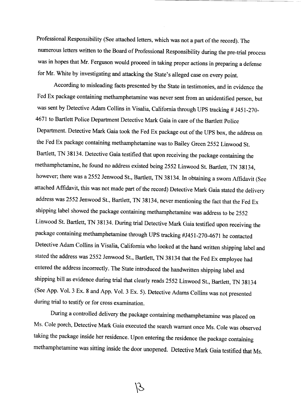Professional Responsibility (See attached letters, which was not a part of the record). The numerous letters written to the Board of Professional Responsibility during the pre-trial process was in hopes that Mr. Ferguson would proceed in taking proper actions in preparing a defense for Mr. White by investigating and attacking the State's alleged case on every point.

According to misleading facts presented by the State in testimonies, and in evidence the Fed Ex package containing methamphetamine was never sent from an unidentified person, but was sent by Detective Adam Collins in Visalia, California through UPS tracking # J451-270- 4671 to Bartlett Police Department Detective Mark Gaia in care of the Bartlett Police Department. Detective Mark Gaia took the Fed Ex package out of the UPS box, the address on the Fed Ex package containing methamphetamine was to Bailey Green 2552 Linwood St. Bartlett, TN 38134. Detective Gaia testified that upon receiving the package containing the methamphetamine, he found no address existed being 2552 Linwood St. Bartlett, TN 38134, however; there was a 2552 Jenwood St., Bartlett, TN 38134. In obtaining a sworn Affidavit (See attached Affidavit, this was not made part of the record) Detective Mark Gaia stated the delivery address was 2552 Jenwood St., Bartlett, TN 38134, never mentioning the fact that the Fed Ex shipping label showed the package containing methamphetamine was address to be 2552 Linwood St. Bartlett, TN 38134. During trial Detective Mark Gaia testified upon receiving the package containing methamphetamine through UPS tracking #1451-270-4671 he contacted Detective Adam Collins in Visalia, California who looked at the hand written shipping label and stated the address was 2552 Jenwood St., Bartlett, TN 38134 that the Fed Ex employee had entered the address incorrectly. The State introduced the handwritten shipping label and shipping bill as evidence during trial that clearly reads 2552 Linwood St., Bartlett, TN 38134 (See App. Vol. 3 Ex. 8 and App. Vol. 3 Ex. 5). Detective Adams Collins was not presented during trial to testify or for cross examination.

During a controlled delivery the package containing methamphetamine was placed on Ms. Cole porch, Detective Mark Gaia executed the search warrant once Ms. Cole was observed taking the package inside her residence. Upon entering the residence the package containing methamphetamine was sitting inside the door unopened. Detective Mark Gaia testified that Ms.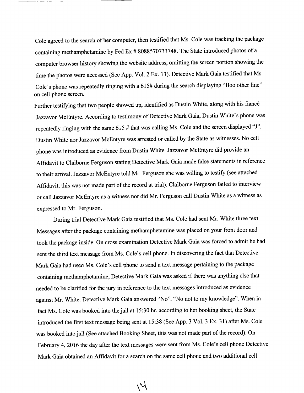Cole agreed to the search of her computer, then testified that Ms. Cole was tracking the package containing methamphetamine by Fed Ex # 8088570733748. The State introduced photos of a computer browser history showing the website address, omitting the screen portion showing the time the photos were accessed (See App. Vol. 2 Ex. 13). Detective Mark Gaia testified that Ms. Cole's phone was repeatedly ringing with a 615# during the search displaying "Boo other line" on cell phone screen.

Further testifying that two people showed up, identified as Dustin White, along with his fiance Jazzavor McEntyre. According to testimony of Detective Mark Gaia, Dustin White's phone was repeatedly ringing with the same 615 *#* that was calling Ms. Cole and the screen displayed "J". Dustin White nor Jazzavor McEntyre was arrested or called by the State as witnesses. No cell phone was introduced as evidence from Dustin White. Jazzavor McEntyre did provide an Affidavit to Claiborne Ferguson stating Detective Mark Gaia made false statements in reference to their arrival. Jazzavor McEntyre told Mr. Ferguson she was willing to testify (see attached Affidavit, this was not made part of the record at trial). Claiborne Ferguson failed to interview or call Jazzavor McEntyre as a witness nor did Mr. Ferguson call Dustin White as a witness as expressed to Mr. Ferguson.

During trial Detective Mark Gaia testified that Ms. Cole had sent Mr. White three text Messages after the package containing methamphetamine was placed on your front door and took the package inside. On cross examination Detective Mark Gaia was forced to admit he had sent the third text message from Ms. Cole's cell phone. In discovering the fact that Detective Mark Gaia had used Ms. Cole's cell phone to send a text message pertaining to the package containing methamphetamine, Detective Mark Gaia was asked if there was anything else that needed to be clarified for the jury in reference to the text messages introduced as evidence against Mr. White. Detective Mark Gaia answered "No". "No not to my knowledge". When in fact Ms. Cole was booked into the jail at 15:30 hr. according to her booking sheet, the State introduced the first text message being sent at 15:38 (See App. 3 Vol. 3 Ex. 31) after Ms. Cole was booked into jail (See attached Booking Sheet, this was not made part of the record). On February 4, 2016 the day after the text messages were sent from Ms. Cole's cell phone Detective Mark Gaia obtained an Affidavit for a search on the same cell phone and two additional cell

 $\backslash \mathcal{N}$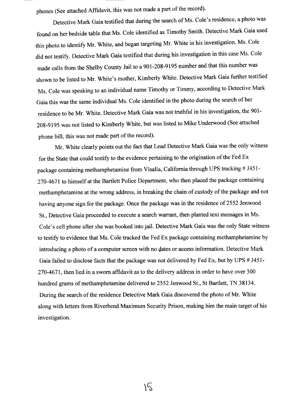phones (See attached Affidavit, this was not made a part of the record).

Detective Mark Gaia testified that during the search of Ms. Cole's residence, a photo was found on her bedside table that Ms. Cole identified as Timothy Smith. Detective Mark Gaia used this photo to identify Mr. White, and began targeting Mr. White in his investigation. Ms. Cole did not testify. Detective Mark Gaia testified that during his investigation in this case Ms. Cole made calls from the Shelby County Jail to a 901-208-9195 number and that this number was shown to be listed to Mr. White's mother, Kimberly White. Detective Mark Gaia further testified Ms. Cole was speaking to an individual name Timothy or Timmy, according to Detective Mark Gaia this was the same individual Ms. Cole identified in the photo during the search of her residence to be Mr. White. Detective Mark Gaia was not truthful in his investigation, the 901- 208-9195 was not listed to Kimberly White, but was listed to Mike Underwood (See attached phone bill, this was not made part of the record).

Mr. White clearly points out the fact that Lead Detective Mark Gaia was the only witness for the State that could testify to the evidence pertaining to the origination of the Fed Ex package containing methamphetamine from Visalia, California through UPS tracking *#* J451- 270-4671 to himself at the Bartlett Police Department, who then placed the package containing methamphetamine at the wrong address, in breaking the chain of custody of the package and not having anyone sign for the package. Once the package was in the residence of 2552 Jenwood St., Detective Gaia proceeded to execute a search warrant, then planted text messages in Ms. Cole's cell phone after she was booked into jail. Detective Mark Gaia was the only State witness to testify to evidence that Ms. Cole tracked the Fed Ex package containing methamphetamine by introducing a photo of a computer screen with no dates or access information. Detective Mark Gaia failed to disclose facts that the package was not delivered by Fed Ex, but by UPS *#* J451- 270-4671, then lied in a sworn affidavit as to the delivery address in order to have over 300 hundred grams of methamphetamine delivered to 2552 Jenwood St., St Bartlett, TN 38134. During the search of the residence Detective Mark Gaia discovered the photo of Mr. White along with letters from Riverbend Maximum Security Prison, making him the main target of his investigation.

 $15$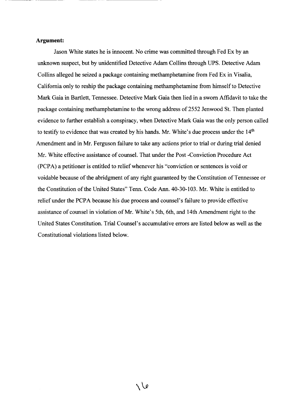#### **Argument:**

Jason White states he is innocent. No crime was committed through Fed Ex by an unknown suspect, but by unidentified Detective Adam Collins through UPS. Detective Adam Collins alleged he seized a package containing methamphetamine from Fed Ex in Visalia, California only to reship the package containing methamphetamine from himself to Detective Mark Gaia in Bartlett, Tennessee. Detective Mark Gaia then lied in a sworn Affidavit to take the package containing methamphetamine to the wrong address of 2552 Jenwood St. Then planted evidence to further establish a conspiracy, when Detective Mark Gaia was the only person called to testify to evidence that was created by his hands. Mr. White's due process under the  $14<sup>th</sup>$ Amendment and in Mr. Ferguson failure to take any actions prior to trial or during trial denied Mr. White effective assistance of counsel. That under the Post -Conviction Procedure Act (PCPA) a petitioner is entitled to relief whenever his "conviction or sentences is void or voidable because of the abridgment of any right guaranteed by the Constitution of Tennessee or the Constitution of the United States" Tenn. Code Ann. 40-30-103. Mr. White is entitled to relief under the PCPA because his due process and counsel's failure to provide effective assistance of counsel in violation of Mr. White's 5th, 6th, and 14th Amendment right to the United States Constitution. Trial Counsel's accumulative errors are listed below as well as the Constitutional violations listed below.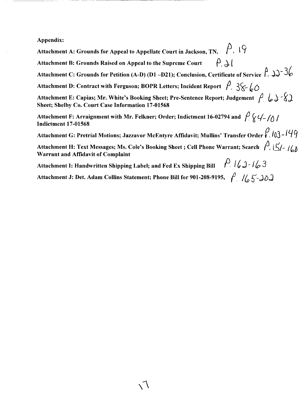#### Appendix:

Attachment A: Grounds for Appeal to Appellate Court in Jackson, TN.  $\beta$ .  $\beta$ 

Attachment B: Grounds Raised on Appeal to the Supreme Court  $\left\{ \begin{array}{c} \rho \Delta \end{array} \right\}$ 

Attachment C: Grounds for Petition (A-D) (D1 -D21); Conclusion, Certificate of Service  $\hat{P}$ .  $\Rightarrow \exists \&$ 

Attachment D: Contract with Ferguson; BOPR Letters; Incident Report  $\hat{P}_1$ ,  $\frac{2}{5}$ 

Attachment E: Capias; Mr. White's Booking Sheet; Pre-Sentence Report; Judgement  $\beta \downarrow \rightarrow \gamma$ Sheet; Shelby Co. Court Case Information 17-01568

Attachment F: Arraignment with Mr. Felkner; Order; Indictment 16-02794 and  $\int \chi \psi f$ Indictment 17-01568

Attachment G: Pretrial Motions; Jazzavor McEntyre Affidavit; Mullins' Transfer Order  $\beta$ . 103 - 149

Attachment H: Text Messages; Ms. Cole's Booking Sheet; Cell Phone Warrant; Search  $\beta$ ,  $\beta$ Warrant and Affidavit of Complaint

Attachment I: Handwritten Shipping Label; and Fed Ex Shipping Bill  $\int f(x) f(x) dx$ 

Attachment J: Det. Adam Collins Statement; Phone Bill for 901-208-9195,  $\int_{c}^{D}$  // 5-JoJ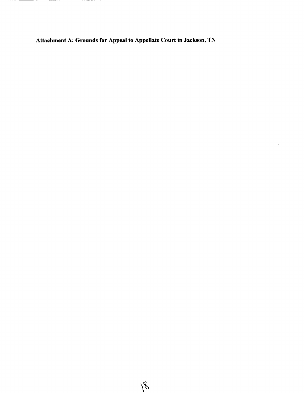**Attachment A: Grounds for Appeal to Appellate Court in Jackson, TN**

 $\hat{\mathbf{v}}$ 

\_\_\_\_\_\_